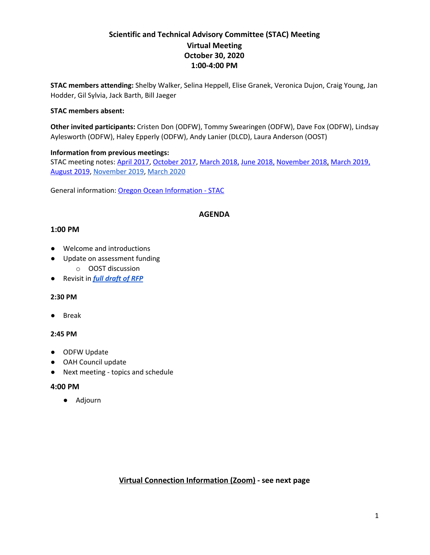# **Scientific and Technical Advisory Committee (STAC) Meeting Virtual Meeting October 30, 2020 1:00-4:00 PM**

**STAC members attending:** Shelby Walker, Selina Heppell, Elise Granek, Veronica Dujon, Craig Young, Jan Hodder, Gil Sylvia, Jack Barth, Bill Jaeger

#### **STAC members absent:**

**Other invited participants:** Cristen Don (ODFW), Tommy Swearingen (ODFW), Dave Fox (ODFW), Lindsay Aylesworth (ODFW), Haley Epperly (ODFW), Andy Lanier (DLCD), Laura Anderson (OOST)

### **Information from previous meetings:**

STAC meeting notes: April [2017,](https://drive.google.com/file/d/0B5IVvyZIy-fNTTFLTG1wdUdEczA/view?usp=sharing) [October](https://drive.google.com/open?id=1ZOxQt7pWCACMzvrBaa9Y0SLkbleVvBJ_vzDJ0OC0ygQ) 2017, [March](https://docs.google.com/document/d/164llJG2yU_6NxgjaIz-dsf30vSIsX-xPON59BFlkeiM/edit?usp=sharing) 2018, June [2018](https://drive.google.com/open?id=1OGo69yVhNugHHmTtPxx8DswKbWcRS0hlXFW5VQhv6iM), [November](https://drive.google.com/file/d/1OK9IF4dZlkZLRlFIFD4NHl-k9l1CGjDX/view?usp=sharing) 2018, [March](https://drive.google.com/open?id=1qFIazkZUI1_BmDyUUqSRtijzhzkIhe0j) 2019, [August](https://drive.google.com/open?id=16h3G1UT_zxlBe7HC47V8eDtGB-9EMFjQ) 2019, [November](https://www.oregonocean.info/index.php/opac-documents/workinggroups/stac/1973-stac-meeting-summary-11-22-19/file) 2019, [March](https://docs.google.com/document/d/1hZFwOzcnTvEY0YB2UdN2_tEaKmo1bJ1JsMHRIvrIojg/edit) 2020

General information: Oregon Ocean [Information](https://www.oregonocean.info/index.php/scientific-and-technical-advisory-committee) - STAC

### **AGENDA**

### **1:00 PM**

- Welcome and introductions
- Update on assessment funding
	- o OOST discussion
- Revisit in *full [draft](https://docs.google.com/document/d/1E4848gUvurSrsJqvmk_jo1U0lb3p6OWkPfRewgQ3zfo/edit?usp=sharing) of RFP*

#### **2:30 PM**

● Break

#### **2:45 PM**

- ODFW Update
- OAH Council update
- Next meeting topics and schedule

#### **4:00 PM**

● Adjourn

### **Virtual Connection Information (Zoom) - see next page**